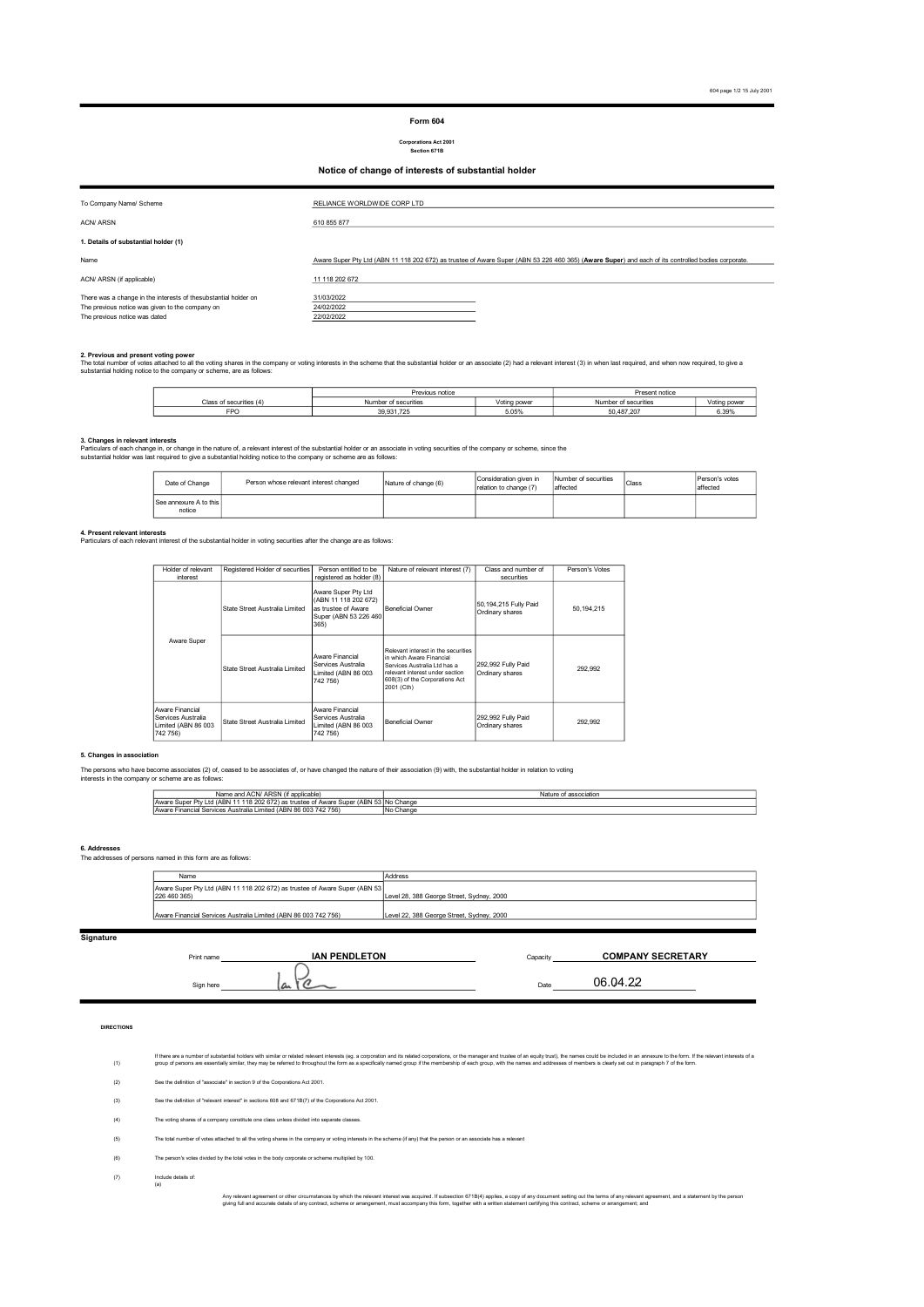# Form 604

# Corporations Act 2001 Section 671B

# Notice of change of interests of substantial holder

| To Company Name/ Scheme                                                                                                                             | RELIANCE WORLDWIDE CORP LTD                                                                                                                        |
|-----------------------------------------------------------------------------------------------------------------------------------------------------|----------------------------------------------------------------------------------------------------------------------------------------------------|
| <b>ACN/ ARSN</b>                                                                                                                                    | 610 855 877                                                                                                                                        |
| 1. Details of substantial holder (1)                                                                                                                |                                                                                                                                                    |
| Name                                                                                                                                                | Aware Super Pty Ltd (ABN 11 118 202 672) as trustee of Aware Super (ABN 53 226 460 365) (Aware Super) and each of its controlled bodies corporate. |
| ACN/ ARSN (if applicable)                                                                                                                           | 11 118 202 672                                                                                                                                     |
| There was a change in the interests of thesubstantial holder on<br>The previous notice was given to the company on<br>The previous notice was dated | 31/03/2022<br>24/02/2022<br>22/02/2022                                                                                                             |

2**. Previous and present voting power**<br>The total number of voles attached to all the voting shares in the company or voting interests in the scheme that the substantial holder or an associate (2) had a relevant interest (3

|                         |     | Previous notice      |              | Present notice       |              |
|-------------------------|-----|----------------------|--------------|----------------------|--------------|
| Class of securities (4) |     | Number of securities | Voting power | Number of securities | Voting power |
|                         | FPO | 39.931.725           | 5.05%        | 50.487.207           | 6.39%        |

**3. Changes in relevant interests**<br>Particulars of each change in the cature of, a relevant interest of the substantial holder or an associate in voting securities of the company or scheme, since the<br>substantial holder was

| Date of Change                   | Person whose relevant interest changed | Nature of change (6) | Consideration given in<br>relation to change (7) | Number of securities<br>laffected | Class | Person's votes<br>affected |
|----------------------------------|----------------------------------------|----------------------|--------------------------------------------------|-----------------------------------|-------|----------------------------|
| See annexure A to this<br>notice |                                        |                      |                                                  |                                   |       |                            |

**4. Present relevant interests**<br>Particulars of each relevant interest of the substantial holder in voting securities after the change are as follows:

| Holder of relevant<br>interest                                           | Registered Holder of securities | Person entitled to be<br>registered as holder (8)                                                    | Nature of relevant interest (7)                                                                                                                                                     | Class and number of<br>securities          | Person's Votes |
|--------------------------------------------------------------------------|---------------------------------|------------------------------------------------------------------------------------------------------|-------------------------------------------------------------------------------------------------------------------------------------------------------------------------------------|--------------------------------------------|----------------|
|                                                                          | State Street Australia Limited  | Aware Super Pty Ltd<br>(ABN 11 118 202 672)<br>as trustee of Aware<br>Super (ABN 53 226 460)<br>365) | Beneficial Owner                                                                                                                                                                    | 50, 194, 215 Fully Paid<br>Ordinary shares | 50,194,215     |
| Aware Super                                                              | State Street Australia Limited  | Aware Financial<br>Services Australia<br>Limited (ABN 86 003<br>742 756)                             | Relevant interest in the securities<br>in which Aware Financial<br>Services Australia I td has a<br>relevant interest under section<br>608(3) of the Corporations Act<br>2001 (Cth) | 292,992 Fully Paid<br>Ordinary shares      | 292.992        |
| Aware Financial<br>Services Australia<br>Limited (ABN 86 003<br>742 756) | State Street Australia Limited  | Aware Financial<br>Services Australia<br>Limited (ABN 86 003<br>742 756)                             | Beneficial Owner                                                                                                                                                                    | 292,992 Fully Paid<br>Ordinary shares      | 292.992        |

## 5. Changes in association

The persons who have become associates (2) of, ceased to be associates of, or have changed the nature of their association (9) with, the substantial holder in relation to voting<br>interests in the company or scheme are as fo

| <b>ADOM</b><br>ACNI.<br><b>Conniconlo</b><br>Name and<br>i applicable.<br>I AUN/ARƏN                             | Nature of association   |
|------------------------------------------------------------------------------------------------------------------|-------------------------|
| Aware Super <sup>(11</sup> )<br>n<br>$\sim$<br>mwal                                                              | r (ABN 53 No Change     |
| 7561<br>742<br>$\sim$<br>$^{\circ}$<br>I imited (ABN<br>Financial Services Australia<br><b>IAware</b><br>186 UUS | <b>INIA</b><br>No Chang |

# 6. Addresses The addresses of persons named in this form are as follows:

| Name                                                                                       | Address                                   |
|--------------------------------------------------------------------------------------------|-------------------------------------------|
| Aware Super Pty Ltd (ABN 11 118 202 672) as trustee of Aware Super (ABN 53<br>226 460 365) | Level 28, 388 George Street, Sydney, 2000 |
| Aware Financial Services Australia Limited (ABN 86 003 742 756)                            | Level 22, 388 George Street, Sydney, 2000 |

# Signature

Print name **Capacity Capacity Capacity Capacity** Sign here Date 06.04.22 COMPANY SECRETARY

## DIRECTIONS

(1) if thee are number of substantial holders with similar or related relevant interests (eg. a corporation and its related corporations, or the manager and trustee of an equity trust), the name could be included in an anougat

- (2) See the definition of "associate" in section 9 of the Corporations Act 2001.
- (3) See the definition of "relevant interest" in sections 608 and 671B(7) of the Corporations Act 2001.
- (4) .<br>The voting shares of a constitute one class unless divided into separate classes.
- (5) The total number of votes attached to all the voting shares in the company or voting interests in the scheme (if any) that the person or an associate has a relevant
- (6) The person's votes divided by the total votes in the body corporate or scheme multiplied by 100.
- (7) (a) Include details of:

Any relevant agreement or other circumstances by which the relevant interest was acquired. If subsection 671B(A) applies, a copy of any document setting out the terms of any relevant agreement, and a statement by the perso